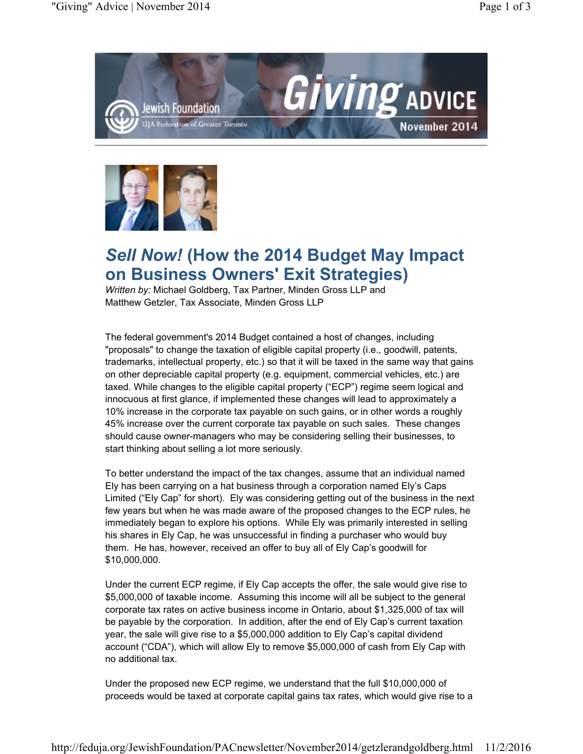



## *Sell Now!* **(How the 2014 Budget May Impact on Business Owners' Exit Strategies)**

*Written by:* Michael Goldberg, Tax Partner, Minden Gross LLP and Matthew Getzler, Tax Associate, Minden Gross LLP

The federal government's 2014 Budget contained a host of changes, including "proposals" to change the taxation of eligible capital property (i.e., goodwill, patents, trademarks, intellectual property, etc.) so that it will be taxed in the same way that gains on other depreciable capital property (e.g. equipment, commercial vehicles, etc.) are taxed. While changes to the eligible capital property ("ECP") regime seem logical and innocuous at first glance, if implemented these changes will lead to approximately a 10% increase in the corporate tax payable on such gains, or in other words a roughly 45% increase over the current corporate tax payable on such sales. These changes should cause owner-managers who may be considering selling their businesses, to start thinking about selling a lot more seriously.

To better understand the impact of the tax changes, assume that an individual named Ely has been carrying on a hat business through a corporation named Ely's Caps Limited ("Ely Cap" for short). Ely was considering getting out of the business in the next few years but when he was made aware of the proposed changes to the ECP rules, he immediately began to explore his options. While Ely was primarily interested in selling his shares in Ely Cap, he was unsuccessful in finding a purchaser who would buy them. He has, however, received an offer to buy all of Ely Cap's goodwill for \$10,000,000.

Under the current ECP regime, if Ely Cap accepts the offer, the sale would give rise to \$5,000,000 of taxable income. Assuming this income will all be subject to the general corporate tax rates on active business income in Ontario, about \$1,325,000 of tax will be payable by the corporation. In addition, after the end of Ely Cap's current taxation year, the sale will give rise to a \$5,000,000 addition to Ely Cap's capital dividend account ("CDA"), which will allow Ely to remove \$5,000,000 of cash from Ely Cap with no additional tax.

Under the proposed new ECP regime, we understand that the full \$10,000,000 of proceeds would be taxed at corporate capital gains tax rates, which would give rise to a